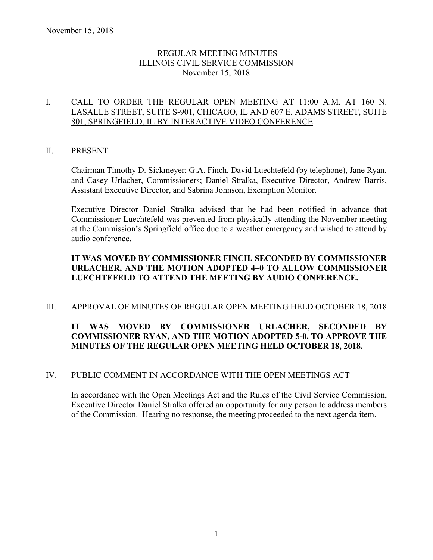## REGULAR MEETING MINUTES ILLINOIS CIVIL SERVICE COMMISSION November 15, 2018

## I. CALL TO ORDER THE REGULAR OPEN MEETING AT 11:00 A.M. AT 160 N. LASALLE STREET, SUITE S-901, CHICAGO, IL AND 607 E. ADAMS STREET, SUITE 801, SPRINGFIELD, IL BY INTERACTIVE VIDEO CONFERENCE

## II. PRESENT

Chairman Timothy D. Sickmeyer; G.A. Finch, David Luechtefeld (by telephone), Jane Ryan, and Casey Urlacher, Commissioners; Daniel Stralka, Executive Director, Andrew Barris, Assistant Executive Director, and Sabrina Johnson, Exemption Monitor.

Executive Director Daniel Stralka advised that he had been notified in advance that Commissioner Luechtefeld was prevented from physically attending the November meeting at the Commission's Springfield office due to a weather emergency and wished to attend by audio conference.

## **IT WAS MOVED BY COMMISSIONER FINCH, SECONDED BY COMMISSIONER URLACHER, AND THE MOTION ADOPTED 4–0 TO ALLOW COMMISSIONER LUECHTEFELD TO ATTEND THE MEETING BY AUDIO CONFERENCE.**

## III. APPROVAL OF MINUTES OF REGULAR OPEN MEETING HELD OCTOBER 18, 2018

## **IT WAS MOVED BY COMMISSIONER URLACHER, SECONDED BY COMMISSIONER RYAN, AND THE MOTION ADOPTED 5-0, TO APPROVE THE MINUTES OF THE REGULAR OPEN MEETING HELD OCTOBER 18, 2018.**

## IV. PUBLIC COMMENT IN ACCORDANCE WITH THE OPEN MEETINGS ACT

In accordance with the Open Meetings Act and the Rules of the Civil Service Commission, Executive Director Daniel Stralka offered an opportunity for any person to address members of the Commission. Hearing no response, the meeting proceeded to the next agenda item.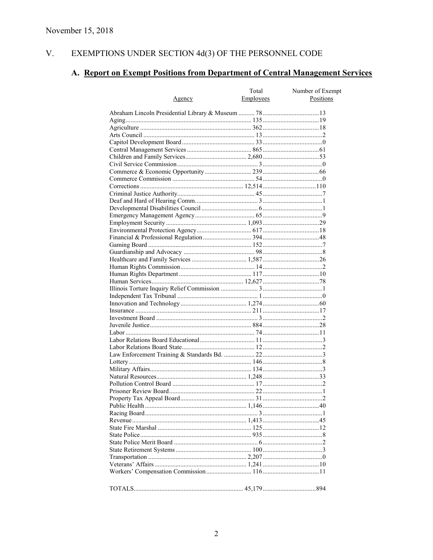#### V. EXEMPTIONS UNDER SECTION  $4d(3)$  OF THE PERSONNEL CODE

# A. Report on Exempt Positions from Department of Central Management Services

|               | Total     | Number of Exempt |
|---------------|-----------|------------------|
| <u>Agency</u> | Employees | Positions        |
|               |           |                  |
|               |           |                  |
|               |           |                  |
|               |           |                  |
|               |           |                  |
|               |           |                  |
|               |           |                  |
|               |           |                  |
|               |           |                  |
|               |           |                  |
|               |           |                  |
|               |           |                  |
|               |           |                  |
|               |           |                  |
|               |           |                  |
|               |           |                  |
|               |           |                  |
|               |           |                  |
|               |           |                  |
|               |           |                  |
|               |           |                  |
|               |           |                  |
|               |           |                  |
|               |           |                  |
|               |           |                  |
|               |           |                  |
|               |           |                  |
|               |           |                  |
|               |           |                  |
|               |           |                  |
|               |           |                  |
|               |           |                  |
|               |           |                  |
|               |           |                  |
|               |           |                  |
|               |           |                  |
|               |           |                  |
|               |           |                  |
|               |           |                  |
|               |           |                  |
|               |           |                  |
|               |           |                  |
|               |           |                  |
|               |           |                  |
|               |           |                  |
|               |           |                  |
|               |           |                  |
|               |           |                  |
|               |           |                  |
|               |           |                  |
|               |           |                  |
|               |           |                  |
|               |           |                  |
|               |           |                  |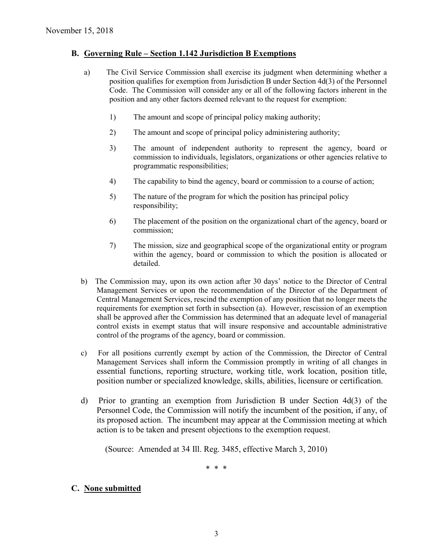## **B. Governing Rule – Section 1.142 Jurisdiction B Exemptions**

- a) The Civil Service Commission shall exercise its judgment when determining whether a position qualifies for exemption from Jurisdiction B under Section 4d(3) of the Personnel Code. The Commission will consider any or all of the following factors inherent in the position and any other factors deemed relevant to the request for exemption:
	- 1) The amount and scope of principal policy making authority;
	- 2) The amount and scope of principal policy administering authority;
	- 3) The amount of independent authority to represent the agency, board or commission to individuals, legislators, organizations or other agencies relative to programmatic responsibilities;
	- 4) The capability to bind the agency, board or commission to a course of action;
	- 5) The nature of the program for which the position has principal policy responsibility;
	- 6) The placement of the position on the organizational chart of the agency, board or commission;
	- 7) The mission, size and geographical scope of the organizational entity or program within the agency, board or commission to which the position is allocated or detailed.
- b) The Commission may, upon its own action after 30 days' notice to the Director of Central Management Services or upon the recommendation of the Director of the Department of Central Management Services, rescind the exemption of any position that no longer meets the requirements for exemption set forth in subsection (a). However, rescission of an exemption shall be approved after the Commission has determined that an adequate level of managerial control exists in exempt status that will insure responsive and accountable administrative control of the programs of the agency, board or commission.
- c) For all positions currently exempt by action of the Commission, the Director of Central Management Services shall inform the Commission promptly in writing of all changes in essential functions, reporting structure, working title, work location, position title, position number or specialized knowledge, skills, abilities, licensure or certification.
- d) Prior to granting an exemption from Jurisdiction B under Section 4d(3) of the Personnel Code, the Commission will notify the incumbent of the position, if any, of its proposed action. The incumbent may appear at the Commission meeting at which action is to be taken and present objections to the exemption request.

(Source: Amended at 34 Ill. Reg. 3485, effective March 3, 2010)

\* \* \*

## **C. None submitted**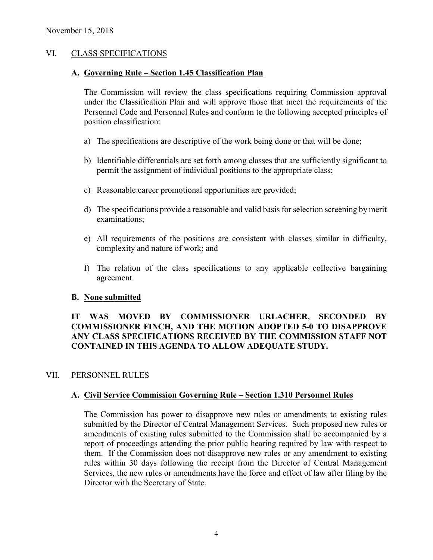## VI. CLASS SPECIFICATIONS

## **A. Governing Rule – Section 1.45 Classification Plan**

The Commission will review the class specifications requiring Commission approval under the Classification Plan and will approve those that meet the requirements of the Personnel Code and Personnel Rules and conform to the following accepted principles of position classification:

- a) The specifications are descriptive of the work being done or that will be done;
- b) Identifiable differentials are set forth among classes that are sufficiently significant to permit the assignment of individual positions to the appropriate class;
- c) Reasonable career promotional opportunities are provided;
- d) The specifications provide a reasonable and valid basis for selection screening by merit examinations;
- e) All requirements of the positions are consistent with classes similar in difficulty, complexity and nature of work; and
- f) The relation of the class specifications to any applicable collective bargaining agreement.

## **B. None submitted**

## **IT WAS MOVED BY COMMISSIONER URLACHER, SECONDED BY COMMISSIONER FINCH, AND THE MOTION ADOPTED 5-0 TO DISAPPROVE ANY CLASS SPECIFICATIONS RECEIVED BY THE COMMISSION STAFF NOT CONTAINED IN THIS AGENDA TO ALLOW ADEQUATE STUDY.**

## VII. PERSONNEL RULES

## **A. Civil Service Commission Governing Rule – Section 1.310 Personnel Rules**

The Commission has power to disapprove new rules or amendments to existing rules submitted by the Director of Central Management Services. Such proposed new rules or amendments of existing rules submitted to the Commission shall be accompanied by a report of proceedings attending the prior public hearing required by law with respect to them. If the Commission does not disapprove new rules or any amendment to existing rules within 30 days following the receipt from the Director of Central Management Services, the new rules or amendments have the force and effect of law after filing by the Director with the Secretary of State.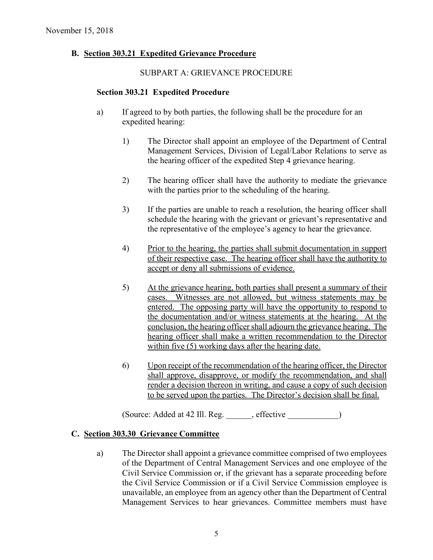## **B. Section 303.21 Expedited Grievance Procedure**

#### SUBPART A: GRIEVANCE PROCEDURE

#### **Section 303.21 Expedited Procedure**

- a) If agreed to by both parties, the following shall be the procedure for an expedited hearing:
	- 1) The Director shall appoint an employee of the Department of Central Management Services, Division of Legal/Labor Relations to serve as the hearing officer of the expedited Step 4 grievance hearing.
	- 2) The hearing officer shall have the authority to mediate the grievance with the parties prior to the scheduling of the hearing.
	- 3) If the parties are unable to reach a resolution, the hearing officer shall schedule the hearing with the grievant or grievant's representative and the representative of the employee's agency to hear the grievance.
	- 4) Prior to the hearing, the parties shall submit documentation in support of their respective case. The hearing officer shall have the authority to accept or deny all submissions of evidence.
	- 5) At the grievance hearing, both parties shall present a summary of their cases. Witnesses are not allowed, but witness statements may be entered. The opposing party will have the opportunity to respond to the documentation and/or witness statements at the hearing. At the conclusion, the hearing officer shall adjourn the grievance hearing. The hearing officer shall make a written recommendation to the Director within five (5) working days after the hearing date.
	- 6) Upon receipt of the recommendation of the hearing officer, the Director shall approve, disapprove, or modify the recommendation, and shall render a decision thereon in writing, and cause a copy of such decision to be served upon the parties. The Director's decision shall be final.

(Source: Added at 42 Ill. Reg. \_\_\_\_\_\_, effective \_\_\_\_\_\_\_\_\_\_\_\_)

## **C. Section 303.30 Grievance Committee**

a) The Director shall appoint a grievance committee comprised of two employees of the Department of Central Management Services and one employee of the Civil Service Commission or, if the grievant has a separate proceeding before the Civil Service Commission or if a Civil Service Commission employee is unavailable, an employee from an agency other than the Department of Central Management Services to hear grievances. Committee members must have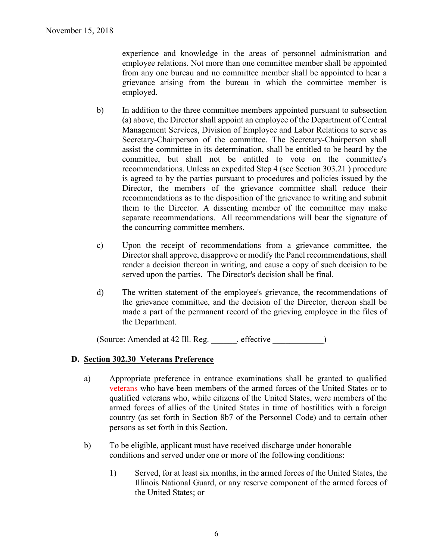experience and knowledge in the areas of personnel administration and employee relations. Not more than one committee member shall be appointed from any one bureau and no committee member shall be appointed to hear a grievance arising from the bureau in which the committee member is employed.

- b) In addition to the three committee members appointed pursuant to subsection (a) above, the Director shall appoint an employee of the Department of Central Management Services, Division of Employee and Labor Relations to serve as Secretary-Chairperson of the committee. The Secretary-Chairperson shall assist the committee in its determination, shall be entitled to be heard by the committee, but shall not be entitled to vote on the committee's recommendations. Unless an expedited Step 4 (see Section 303.21 ) procedure is agreed to by the parties pursuant to procedures and policies issued by the Director, the members of the grievance committee shall reduce their recommendations as to the disposition of the grievance to writing and submit them to the Director. A dissenting member of the committee may make separate recommendations. All recommendations will bear the signature of the concurring committee members.
- c) Upon the receipt of recommendations from a grievance committee, the Director shall approve, disapprove or modify the Panel recommendations, shall render a decision thereon in writing, and cause a copy of such decision to be served upon the parties. The Director's decision shall be final.
- d) The written statement of the employee's grievance, the recommendations of the grievance committee, and the decision of the Director, thereon shall be made a part of the permanent record of the grieving employee in the files of the Department.

(Source: Amended at 42 Ill. Reg. effective )

## **D. Section 302.30 Veterans Preference**

- a) Appropriate preference in entrance examinations shall be granted to qualified veterans who have been members of the armed forces of the United States or to qualified veterans who, while citizens of the United States, were members of the armed forces of allies of the United States in time of hostilities with a foreign country (as set forth in Section 8b7 of the Personnel Code) and to certain other persons as set forth in this Section.
- b) To be eligible, applicant must have received discharge under honorable conditions and served under one or more of the following conditions:
	- 1) Served, for at least six months, in the armed forces of the United States, the Illinois National Guard, or any reserve component of the armed forces of the United States; or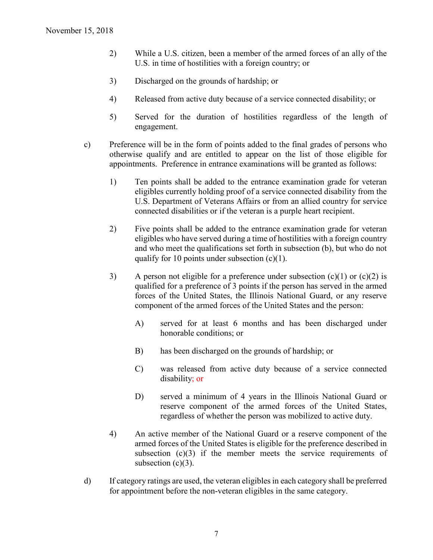- 2) While a U.S. citizen, been a member of the armed forces of an ally of the U.S. in time of hostilities with a foreign country; or
- 3) Discharged on the grounds of hardship; or
- 4) Released from active duty because of a service connected disability; or
- 5) Served for the duration of hostilities regardless of the length of engagement.
- c) Preference will be in the form of points added to the final grades of persons who otherwise qualify and are entitled to appear on the list of those eligible for appointments. Preference in entrance examinations will be granted as follows:
	- 1) Ten points shall be added to the entrance examination grade for veteran eligibles currently holding proof of a service connected disability from the U.S. Department of Veterans Affairs or from an allied country for service connected disabilities or if the veteran is a purple heart recipient.
	- 2) Five points shall be added to the entrance examination grade for veteran eligibles who have served during a time of hostilities with a foreign country and who meet the qualifications set forth in subsection (b), but who do not qualify for 10 points under subsection  $(c)(1)$ .
	- 3) A person not eligible for a preference under subsection  $(c)(1)$  or  $(c)(2)$  is qualified for a preference of 3 points if the person has served in the armed forces of the United States, the Illinois National Guard, or any reserve component of the armed forces of the United States and the person:
		- A) served for at least 6 months and has been discharged under honorable conditions; or
		- B) has been discharged on the grounds of hardship; or
		- C) was released from active duty because of a service connected disability; or
		- D) served a minimum of 4 years in the Illinois National Guard or reserve component of the armed forces of the United States, regardless of whether the person was mobilized to active duty.
	- 4) An active member of the National Guard or a reserve component of the armed forces of the United States is eligible for the preference described in subsection  $(c)(3)$  if the member meets the service requirements of subsection  $(c)(3)$ .
- d) If category ratings are used, the veteran eligibles in each category shall be preferred for appointment before the non-veteran eligibles in the same category.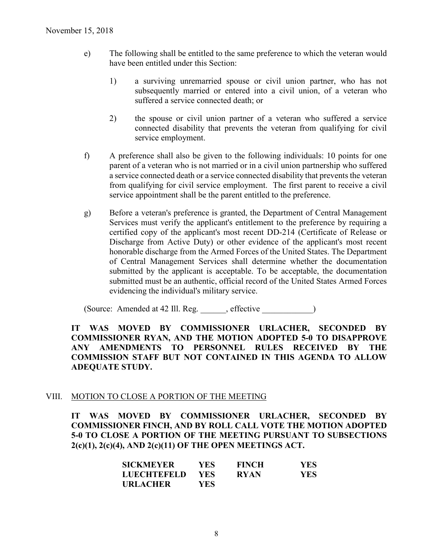- e) The following shall be entitled to the same preference to which the veteran would have been entitled under this Section:
	- 1) a surviving unremarried spouse or civil union partner, who has not subsequently married or entered into a civil union, of a veteran who suffered a service connected death; or
	- 2) the spouse or civil union partner of a veteran who suffered a service connected disability that prevents the veteran from qualifying for civil service employment.
- f) A preference shall also be given to the following individuals: 10 points for one parent of a veteran who is not married or in a civil union partnership who suffered a service connected death or a service connected disability that prevents the veteran from qualifying for civil service employment. The first parent to receive a civil service appointment shall be the parent entitled to the preference.
- g) Before a veteran's preference is granted, the Department of Central Management Services must verify the applicant's entitlement to the preference by requiring a certified copy of the applicant's most recent DD-214 (Certificate of Release or Discharge from Active Duty) or other evidence of the applicant's most recent honorable discharge from the Armed Forces of the United States. The Department of Central Management Services shall determine whether the documentation submitted by the applicant is acceptable. To be acceptable, the documentation submitted must be an authentic, official record of the United States Armed Forces evidencing the individual's military service.

(Source: Amended at 42 Ill. Reg. effective )

## **IT WAS MOVED BY COMMISSIONER URLACHER, SECONDED BY COMMISSIONER RYAN, AND THE MOTION ADOPTED 5-0 TO DISAPPROVE ANY AMENDMENTS TO PERSONNEL RULES RECEIVED BY THE COMMISSION STAFF BUT NOT CONTAINED IN THIS AGENDA TO ALLOW ADEQUATE STUDY.**

## VIII. MOTION TO CLOSE A PORTION OF THE MEETING

**IT WAS MOVED BY COMMISSIONER URLACHER, SECONDED BY COMMISSIONER FINCH, AND BY ROLL CALL VOTE THE MOTION ADOPTED 5-0 TO CLOSE A PORTION OF THE MEETING PURSUANT TO SUBSECTIONS 2(c)(1), 2(c)(4), AND 2(c)(11) OF THE OPEN MEETINGS ACT.**

| <b>SICKMEYER</b> | YES. | <b>FINCH</b> | YES. |
|------------------|------|--------------|------|
| LUECHTEFELD      | YES. | <b>RYAN</b>  | YES. |
| <b>URLACHER</b>  | YES. |              |      |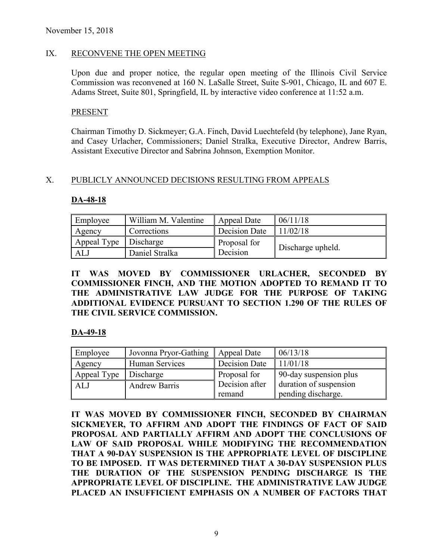## IX. RECONVENE THE OPEN MEETING

Upon due and proper notice, the regular open meeting of the Illinois Civil Service Commission was reconvened at 160 N. LaSalle Street, Suite S-901, Chicago, IL and 607 E. Adams Street, Suite 801, Springfield, IL by interactive video conference at 11:52 a.m.

## PRESENT

Chairman Timothy D. Sickmeyer; G.A. Finch, David Luechtefeld (by telephone), Jane Ryan, and Casey Urlacher, Commissioners; Daniel Stralka, Executive Director, Andrew Barris, Assistant Executive Director and Sabrina Johnson, Exemption Monitor.

## X. PUBLICLY ANNOUNCED DECISIONS RESULTING FROM APPEALS

#### **DA-48-18**

| Employee    | William M. Valentine | Appeal Date   | 06/11/18          |
|-------------|----------------------|---------------|-------------------|
| Agency      | Corrections          | Decision Date | 11/02/18          |
| Appeal Type | Discharge            | Proposal for  |                   |
| ALJ         | Daniel Stralka       | Decision      | Discharge upheld. |

**IT WAS MOVED BY COMMISSIONER URLACHER, SECONDED BY COMMISSIONER FINCH, AND THE MOTION ADOPTED TO REMAND IT TO THE ADMINISTRATIVE LAW JUDGE FOR THE PURPOSE OF TAKING ADDITIONAL EVIDENCE PURSUANT TO SECTION 1.290 OF THE RULES OF THE CIVIL SERVICE COMMISSION.** 

## **DA-49-18**

| Employee    | Jovonna Pryor-Gathing | Appeal Date    | 06/13/18               |
|-------------|-----------------------|----------------|------------------------|
| Agency      | Human Services        | Decision Date  | 11/01/18               |
| Appeal Type | Discharge             | Proposal for   | 90-day suspension plus |
| ALJ         | <b>Andrew Barris</b>  | Decision after | duration of suspension |
|             |                       | remand         | pending discharge.     |

**IT WAS MOVED BY COMMISSIONER FINCH, SECONDED BY CHAIRMAN SICKMEYER, TO AFFIRM AND ADOPT THE FINDINGS OF FACT OF SAID PROPOSAL AND PARTIALLY AFFIRM AND ADOPT THE CONCLUSIONS OF LAW OF SAID PROPOSAL WHILE MODIFYING THE RECOMMENDATION THAT A 90-DAY SUSPENSION IS THE APPROPRIATE LEVEL OF DISCIPLINE TO BE IMPOSED. IT WAS DETERMINED THAT A 30-DAY SUSPENSION PLUS THE DURATION OF THE SUSPENSION PENDING DISCHARGE IS THE APPROPRIATE LEVEL OF DISCIPLINE. THE ADMINISTRATIVE LAW JUDGE PLACED AN INSUFFICIENT EMPHASIS ON A NUMBER OF FACTORS THAT**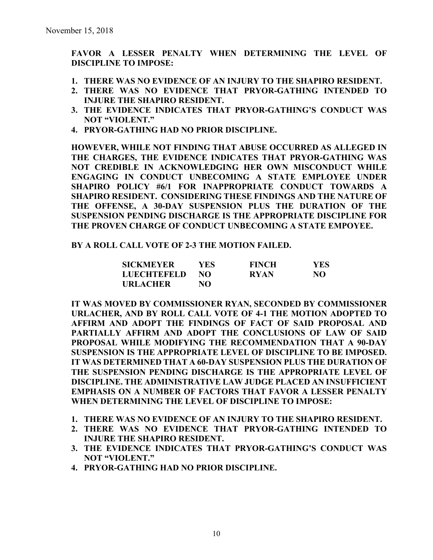**FAVOR A LESSER PENALTY WHEN DETERMINING THE LEVEL OF DISCIPLINE TO IMPOSE:**

- **1. THERE WAS NO EVIDENCE OF AN INJURY TO THE SHAPIRO RESIDENT.**
- **2. THERE WAS NO EVIDENCE THAT PRYOR-GATHING INTENDED TO INJURE THE SHAPIRO RESIDENT.**
- **3. THE EVIDENCE INDICATES THAT PRYOR-GATHING'S CONDUCT WAS NOT "VIOLENT."**
- **4. PRYOR-GATHING HAD NO PRIOR DISCIPLINE.**

**HOWEVER, WHILE NOT FINDING THAT ABUSE OCCURRED AS ALLEGED IN THE CHARGES, THE EVIDENCE INDICATES THAT PRYOR-GATHING WAS NOT CREDIBLE IN ACKNOWLEDGING HER OWN MISCONDUCT WHILE ENGAGING IN CONDUCT UNBECOMING A STATE EMPLOYEE UNDER SHAPIRO POLICY #6/1 FOR INAPPROPRIATE CONDUCT TOWARDS A SHAPIRO RESIDENT. CONSIDERING THESE FINDINGS AND THE NATURE OF THE OFFENSE, A 30-DAY SUSPENSION PLUS THE DURATION OF THE SUSPENSION PENDING DISCHARGE IS THE APPROPRIATE DISCIPLINE FOR THE PROVEN CHARGE OF CONDUCT UNBECOMING A STATE EMPOYEE.**

## **BY A ROLL CALL VOTE OF 2-3 THE MOTION FAILED.**

| <b>SICKMEYER</b>   | YES | <b>FINCH</b> | YES |
|--------------------|-----|--------------|-----|
| <b>LUECHTEFELD</b> | NO. | <b>RYAN</b>  | NO  |
| <b>URLACHER</b>    | NO  |              |     |

**IT WAS MOVED BY COMMISSIONER RYAN, SECONDED BY COMMISSIONER URLACHER, AND BY ROLL CALL VOTE OF 4-1 THE MOTION ADOPTED TO AFFIRM AND ADOPT THE FINDINGS OF FACT OF SAID PROPOSAL AND PARTIALLY AFFIRM AND ADOPT THE CONCLUSIONS OF LAW OF SAID PROPOSAL WHILE MODIFYING THE RECOMMENDATION THAT A 90-DAY SUSPENSION IS THE APPROPRIATE LEVEL OF DISCIPLINE TO BE IMPOSED. IT WAS DETERMINED THAT A 60-DAY SUSPENSION PLUS THE DURATION OF THE SUSPENSION PENDING DISCHARGE IS THE APPROPRIATE LEVEL OF DISCIPLINE. THE ADMINISTRATIVE LAW JUDGE PLACED AN INSUFFICIENT EMPHASIS ON A NUMBER OF FACTORS THAT FAVOR A LESSER PENALTY WHEN DETERMINING THE LEVEL OF DISCIPLINE TO IMPOSE:**

- **1. THERE WAS NO EVIDENCE OF AN INJURY TO THE SHAPIRO RESIDENT.**
- **2. THERE WAS NO EVIDENCE THAT PRYOR-GATHING INTENDED TO INJURE THE SHAPIRO RESIDENT.**
- **3. THE EVIDENCE INDICATES THAT PRYOR-GATHING'S CONDUCT WAS NOT "VIOLENT."**
- **4. PRYOR-GATHING HAD NO PRIOR DISCIPLINE.**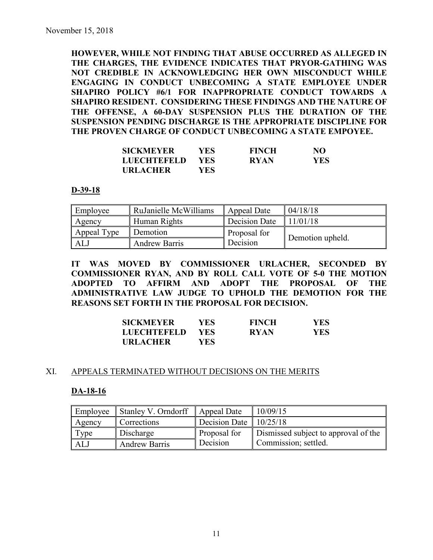**HOWEVER, WHILE NOT FINDING THAT ABUSE OCCURRED AS ALLEGED IN THE CHARGES, THE EVIDENCE INDICATES THAT PRYOR-GATHING WAS NOT CREDIBLE IN ACKNOWLEDGING HER OWN MISCONDUCT WHILE ENGAGING IN CONDUCT UNBECOMING A STATE EMPLOYEE UNDER SHAPIRO POLICY #6/1 FOR INAPPROPRIATE CONDUCT TOWARDS A SHAPIRO RESIDENT. CONSIDERING THESE FINDINGS AND THE NATURE OF THE OFFENSE, A 60-DAY SUSPENSION PLUS THE DURATION OF THE SUSPENSION PENDING DISCHARGE IS THE APPROPRIATE DISCIPLINE FOR THE PROVEN CHARGE OF CONDUCT UNBECOMING A STATE EMPOYEE.**

| <b>SICKMEYER</b>   | YES- | <b>FINCH</b> | NO         |
|--------------------|------|--------------|------------|
| <b>LUECHTEFELD</b> | YES. | <b>RYAN</b>  | <b>YES</b> |
| <b>URLACHER</b>    | YES- |              |            |

#### **D-39-18**

| Employee    | RuJanielle McWilliams | Appeal Date   | 04/18/18         |
|-------------|-----------------------|---------------|------------------|
| Agency      | Human Rights          | Decision Date | 11/01/18         |
| Appeal Type | Demotion              | Proposal for  |                  |
| ALJ         | <b>Andrew Barris</b>  | Decision      | Demotion upheld. |

**IT WAS MOVED BY COMMISSIONER URLACHER, SECONDED BY COMMISSIONER RYAN, AND BY ROLL CALL VOTE OF 5-0 THE MOTION ADOPTED TO AFFIRM AND ADOPT THE PROPOSAL OF THE ADMINISTRATIVE LAW JUDGE TO UPHOLD THE DEMOTION FOR THE REASONS SET FORTH IN THE PROPOSAL FOR DECISION.**

| <b>SICKMEYER</b>   | YES- | <b>FINCH</b> | YES |
|--------------------|------|--------------|-----|
| <b>LUECHTEFELD</b> | YES  | <b>RYAN</b>  | YES |
| <b>URLACHER</b>    | YES- |              |     |

## XI. APPEALS TERMINATED WITHOUT DECISIONS ON THE MERITS

## **DA-18-16**

| Employee | Stanley V. Orndorff  | Appeal Date            | 10/09/15                             |
|----------|----------------------|------------------------|--------------------------------------|
| Agency   | Corrections          | Decision Date 10/25/18 |                                      |
| Type     | Discharge            | Proposal for           | Dismissed subject to approval of the |
| ALJ      | <b>Andrew Barris</b> | Decision               | Commission; settled.                 |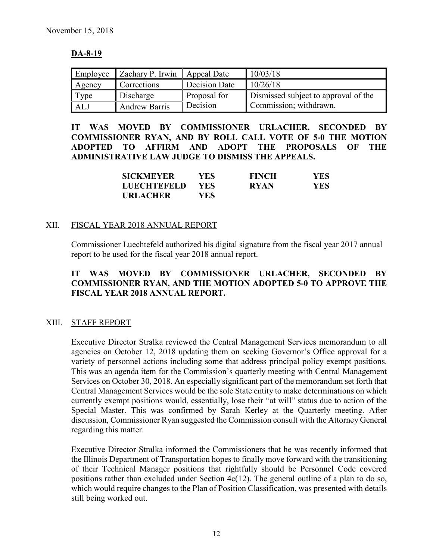## **DA-8-19**

| Employee | Zachary P. Irwin     | Appeal Date   | 10/03/18                             |
|----------|----------------------|---------------|--------------------------------------|
| Agency   | Corrections          | Decision Date | 10/26/18                             |
| Type     | Discharge            | Proposal for  | Dismissed subject to approval of the |
| ALJ      | <b>Andrew Barris</b> | Decision      | Commission; withdrawn.               |

**IT WAS MOVED BY COMMISSIONER URLACHER, SECONDED BY COMMISSIONER RYAN, AND BY ROLL CALL VOTE OF 5-0 THE MOTION ADOPTED TO AFFIRM AND ADOPT THE PROPOSALS OF THE ADMINISTRATIVE LAW JUDGE TO DISMISS THE APPEALS.**

| <b>SICKMEYER</b> | YES. | <b>FINCH</b> | YES  |
|------------------|------|--------------|------|
| LUECHTEFELD      | YES. | <b>RYAN</b>  | YES. |
| URLACHER         | YES. |              |      |

## XII. FISCAL YEAR 2018 ANNUAL REPORT

Commissioner Luechtefeld authorized his digital signature from the fiscal year 2017 annual report to be used for the fiscal year 2018 annual report.

## **IT WAS MOVED BY COMMISSIONER URLACHER, SECONDED BY COMMISSIONER RYAN, AND THE MOTION ADOPTED 5-0 TO APPROVE THE FISCAL YEAR 2018 ANNUAL REPORT.**

## XIII. STAFF REPORT

Executive Director Stralka reviewed the Central Management Services memorandum to all agencies on October 12, 2018 updating them on seeking Governor's Office approval for a variety of personnel actions including some that address principal policy exempt positions. This was an agenda item for the Commission's quarterly meeting with Central Management Services on October 30, 2018. An especially significant part of the memorandum set forth that Central Management Services would be the sole State entity to make determinations on which currently exempt positions would, essentially, lose their "at will" status due to action of the Special Master. This was confirmed by Sarah Kerley at the Quarterly meeting. After discussion, Commissioner Ryan suggested the Commission consult with the Attorney General regarding this matter.

Executive Director Stralka informed the Commissioners that he was recently informed that the Illinois Department of Transportation hopes to finally move forward with the transitioning of their Technical Manager positions that rightfully should be Personnel Code covered positions rather than excluded under Section 4c(12). The general outline of a plan to do so, which would require changes to the Plan of Position Classification, was presented with details still being worked out.